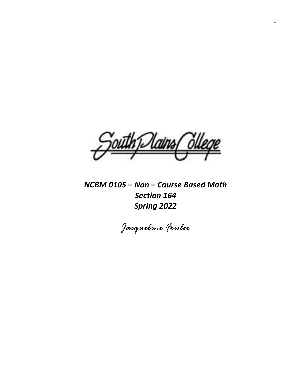thTlains/

*NCBM 0105 – Non – Course Based Math Section 164 Spring 2022*

*Jacqueline Fowler*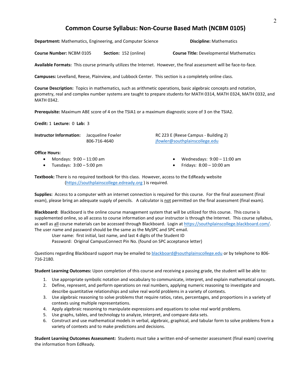# **Common Course Syllabus: Non-Course Based Math (NCBM 0105)**

**Department:** Mathematics, Engineering, and Computer Science **Discipline:** Mathematics

**Course Number:** NCBM 0105 **Section:** 152 (online) **Course Title:** Developmental Mathematics

**Available Formats:** This course primarily utilizes the Internet. However, the final assessment will be face-to-face.

**Campuses:** Levelland, Reese, Plainview, and Lubbock Center. This section is a completely online class.

**Course Description:** Topics in mathematics, such as arithmetic operations, basic algebraic concepts and notation, geometry, real and complex number systems are taught to prepare students for MATH 0314, MATH 0324, MATH 0332, and MATH 0342.

**Prerequisite:** Maximum ABE score of 4 on the TSIA1 or a maximum diagnostic score of 3 on the TSIA2.

**Credit:** 1 **Lecture:** 0 **Lab:** 3

| Instructor Information: | Jacqueline Fowler |
|-------------------------|-------------------|
|                         | 806-716-4640      |

**INC 223 E (Reese Campus - Building 2)** [jfowler@southplainscollege.edu](mailto:jfowler@southplainscollege.edu)

**Office Hours:**

- Mondays: 9:00 11:00 am
- Tuesdays:  $3:00 5:00$  pm
- Wednesdays: 9:00 11:00 am
- Fridays: 8:00 10:00 am

**Textbook:** There is no required textbook for this class. However, access to the EdReady website [\(https://southplainscollege.edready.org](https://southplainscollege.edready.org/) ) is required.

**Supplies:** Access to a computer with an internet connection is required for this course. For the final assessment (final exam), please bring an adequate supply of pencils. A calculator is not permitted on the final assessment (final exam).

**Blackboard:** Blackboard is the online course management system that will be utilized for this course. This course is supplemented online, so all access to course information and your instructor is through the Internet. This course syllabus, as well as all course materials can be accessed through Blackboard. Login a[t https://southplainscollege.blackboard.com/.](https://southplainscollege.blackboard.com/) The user name and password should be the same as the MySPC and SPC email.

User name: first initial, last name, and last 4 digits of the Student ID

Password: Original CampusConnect Pin No. (found on SPC acceptance letter)

Questions regarding Blackboard support may be emailed to [blackboard@southplainscollege.edu](mailto:blackboard@southplainscollege.edu) or by telephone to 806-716-2180.

**Student Learning Outcomes:** Upon completion of this course and receiving a passing grade, the student will be able to:

- 1. Use appropriate symbolic notation and vocabulary to communicate, interpret, and explain mathematical concepts.
- 2. Define, represent, and perform operations on real numbers, applying numeric reasoning to investigate and describe quantitative relationships and solve real world problems in a variety of contexts.
- 3. Use algebraic reasoning to solve problems that require ratios, rates, percentages, and proportions in a variety of contexts using multiple representations.
- 4. Apply algebraic reasoning to manipulate expressions and equations to solve real world problems.
- 5. Use graphs, tables, and technology to analyze, interpret, and compare data sets.
- 6. Construct and use mathematical models in verbal, algebraic, graphical, and tabular form to solve problems from a variety of contexts and to make predictions and decisions.

**Student Learning Outcomes Assessment:** Students must take a written end-of-semester assessment (final exam) covering the information from EdReady.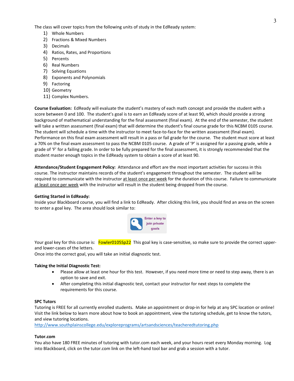The class will cover topics from the following units of study in the EdReady system:

- 1) Whole Numbers
- 2) Fractions & Mixed Numbers
- 3) Decimals
- 4) Ratios, Rates, and Proportions
- 5) Percents
- 6) Real Numbers
- 7) Solving Equations
- 8) Exponents and Polynomials
- 9) Factoring
- 10) Geometry
- 11) Complex Numbers.

**Course Evaluation:** EdReady will evaluate the student's mastery of each math concept and provide the student with a score between 0 and 100. The student's goal is to earn an EdReady score of at least 90, which should provide a strong background of mathematical understanding for the final assessment (final exam). At the end of the semester, the student will take a written assessment (final exam) that will determine the student's final course grade for this NCBM 0105 course. The student will schedule a time with the instructor to meet face-to-face for the written assessment (final exam). Performance on this final exam assessment will result in a pass or fail grade for the course. The student must score at least a 70% on the final exam assessment to pass the NCBM 0105 course. A grade of 'P' is assigned for a passing grade, while a grade of 'F' for a failing grade. In order to be fully prepared for the final assessment, it is strongly recommended that the student master enough topics in the EdReady system to obtain a score of at least 90.

**Attendance/Student Engagement Policy:** Attendance and effort are the most important activities for success in this course. The instructor maintains records of the student's engagement throughout the semester. The student will be required to communicate with the instructor at least once per week for the duration of this course. Failure to communicate at least once per week with the instructor will result in the student being dropped from the course.

## **Getting Started in EdReady:**

Inside your Blackboard course, you will find a link to EdReady. After clicking this link, you should find an area on the screen to enter a goal key. The area should look similar to:



Your goal key for this course is: Fowler0105Sp22 This goal key is case-sensitive, so make sure to provide the correct upperand lower-cases of the letters.

Once into the correct goal, you will take an initial diagnostic test.

## **Taking the Initial Diagnostic Test:**

- Please allow at least one hour for this test. However, if you need more time or need to step away, there is an option to save and exit.
- After completing this initial diagnostic test, contact your instructor for next steps to complete the requirements for this course.

#### **SPC Tutors**

Tutoring is FREE for all currently enrolled students. Make an appointment or drop-in for help at any SPC location or online! Visit the link below to learn more about how to book an appointment, view the tutoring schedule, get to know the tutors, and view tutoring locations.

<http://www.southplainscollege.edu/exploreprograms/artsandsciences/teacheredtutoring.php>

#### **Tutor.com**

You also have 180 FREE minutes of tutoring with tutor.com each week, and your hours reset every Monday morning. Log into Blackboard, click on the tutor.com link on the left-hand tool bar and grab a session with a tutor.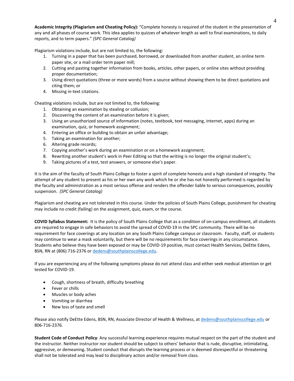**Academic Integrity (Plagiarism and Cheating Policy):** "Complete honesty is required of the student in the presentation of any and all phases of course work. This idea applies to quizzes of whatever length as well to final examinations, to daily reports, and to term papers." *(SPC General Catalog)*

Plagiarism violations include, but are not limited to, the following:

- 1. Turning in a paper that has been purchased, borrowed, or downloaded from another student, an online term paper site, or a mail order term paper mill;
- 2. Cutting and pasting together information from books, articles, other papers, or online sites without providing proper documentation;
- 3. Using direct quotations (three or more words) from a source without showing them to be direct quotations and citing them; or
- 4. Missing in-text citations.

Cheating violations include, but are not limited to, the following:

- 1. Obtaining an examination by stealing or collusion;
- 2. Discovering the content of an examination before it is given;
- 3. Using an unauthorized source of information (notes, textbook, text messaging, internet, apps) during an examination, quiz, or homework assignment;
- 4. Entering an office or building to obtain an unfair advantage;
- 5. Taking an examination for another;
- 6. Altering grade records;
- 7. Copying another's work during an examination or on a homework assignment;
- 8. Rewriting another student's work in Peer Editing so that the writing is no longer the original student's;
- 9. Taking pictures of a test, test answers, or someone else's paper.

It is the aim of the faculty of South Plains College to foster a spirit of complete honesty and a high standard of integrity. The attempt of any student to present as his or her own any work which he or she has not honestly performed is regarded by the faculty and administration as a most serious offense and renders the offender liable to serious consequences, possibly suspension. *(SPC General Catalog)*

Plagiarism and cheating are not tolerated in this course. Under the policies of South Plains College, punishment for cheating may include no credit (failing) on the assignment, quiz, exam, or the course.

**COVID Syllabus Statement:** It is the policy of South Plains College that as a condition of on-campus enrollment, all students are required to engage in safe behaviors to avoid the spread of COVID-19 in the SPC community. There will be no requirement for face coverings at any location on any South Plains College campus or classroom. Faculty, staff, or students may continue to wear a mask voluntarily, but there will be no requirements for face coverings in any circumstance. Students who believe they have been exposed or may be COVID-19 positive, must contact Health Services, DeEtte Edens, BSN, RN at (806) 716-2376 or [dedens@southplainscollege.edu.](mailto:dedens@southplainscollege.edu)

If you are experiencing any of the following symptoms please do not attend class and either seek medical attention or get tested for COVID-19.

- Cough, shortness of breath, difficulty breathing
- Fever or chills
- Muscles or body aches
- Vomiting or diarrhea
- New loss of taste and smell

Please also notify DeEtte Edens, BSN, RN, Associate Director of Health & Wellness, a[t dedens@southplainscollege.edu](mailto:dedens@southplainscollege.edu) or 806-716-2376.

**Student Code of Conduct Policy**: Any successful learning experience requires mutual respect on the part of the student and the instructor. Neither instructor nor student should be subject to others' behavior that is rude, disruptive, intimidating, aggressive, or demeaning**.** Student conduct that disrupts the learning process or is deemed disrespectful or threatening shall not be tolerated and may lead to disciplinary action and/or removal from class.